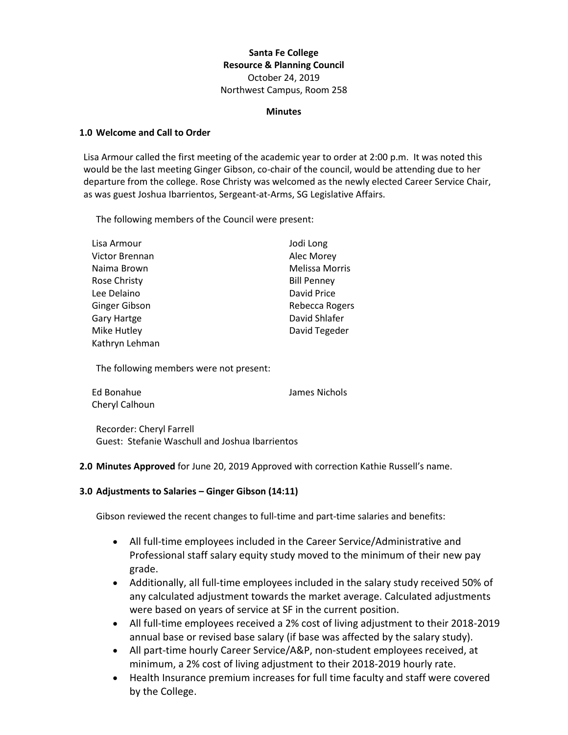# **Santa Fe College Resource & Planning Council** October 24, 2019 Northwest Campus, Room 258

#### **Minutes**

#### **1.0 Welcome and Call to Order**

Lisa Armour called the first meeting of the academic year to order at 2:00 p.m. It was noted this would be the last meeting Ginger Gibson, co-chair of the council, would be attending due to her departure from the college. Rose Christy was welcomed as the newly elected Career Service Chair, as was guest Joshua Ibarrientos, Sergeant-at-Arms, SG Legislative Affairs.

The following members of the Council were present:

| Lisa Armour         | Jodi Long             |
|---------------------|-----------------------|
| Victor Brennan      | Alec Morey            |
| Naima Brown         | <b>Melissa Morris</b> |
| <b>Rose Christy</b> | <b>Bill Penney</b>    |
| Lee Delaino         | David Price           |
| Ginger Gibson       | Rebecca Rogers        |
| <b>Gary Hartge</b>  | David Shlafer         |
| Mike Hutley         | David Tegeder         |
| Kathryn Lehman      |                       |

The following members were not present:

| Ed Bonahue     | James Nichols |
|----------------|---------------|
| Cheryl Calhoun |               |

Recorder: Cheryl Farrell Guest: Stefanie Waschull and Joshua Ibarrientos

**2.0 Minutes Approved** for June 20, 2019 Approved with correction Kathie Russell's name.

## **3.0 Adjustments to Salaries – Ginger Gibson (14:11)**

Gibson reviewed the recent changes to full-time and part-time salaries and benefits:

- All full-time employees included in the Career Service/Administrative and Professional staff salary equity study moved to the minimum of their new pay grade.
- Additionally, all full-time employees included in the salary study received 50% of any calculated adjustment towards the market average. Calculated adjustments were based on years of service at SF in the current position.
- All full-time employees received a 2% cost of living adjustment to their 2018-2019 annual base or revised base salary (if base was affected by the salary study).
- All part-time hourly Career Service/A&P, non-student employees received, at minimum, a 2% cost of living adjustment to their 2018-2019 hourly rate.
- Health Insurance premium increases for full time faculty and staff were covered by the College.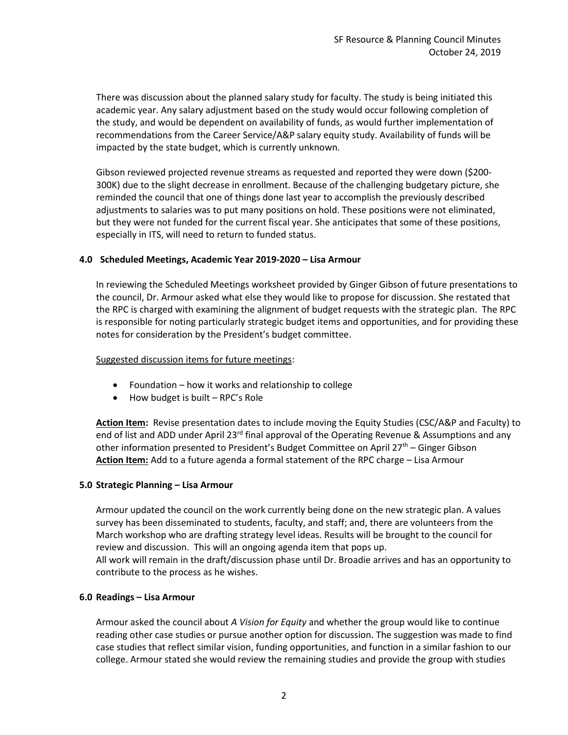There was discussion about the planned salary study for faculty. The study is being initiated this academic year. Any salary adjustment based on the study would occur following completion of the study, and would be dependent on availability of funds, as would further implementation of recommendations from the Career Service/A&P salary equity study. Availability of funds will be impacted by the state budget, which is currently unknown.

Gibson reviewed projected revenue streams as requested and reported they were down (\$200- 300K) due to the slight decrease in enrollment. Because of the challenging budgetary picture, she reminded the council that one of things done last year to accomplish the previously described adjustments to salaries was to put many positions on hold. These positions were not eliminated, but they were not funded for the current fiscal year. She anticipates that some of these positions, especially in ITS, will need to return to funded status.

## **4.0 Scheduled Meetings, Academic Year 2019-2020 – Lisa Armour**

In reviewing the Scheduled Meetings worksheet provided by Ginger Gibson of future presentations to the council, Dr. Armour asked what else they would like to propose for discussion. She restated that the RPC is charged with examining the alignment of budget requests with the strategic plan. The RPC is responsible for noting particularly strategic budget items and opportunities, and for providing these notes for consideration by the President's budget committee.

## Suggested discussion items for future meetings:

- Foundation how it works and relationship to college
- How budget is built RPC's Role

**Action Item:** Revise presentation dates to include moving the Equity Studies (CSC/A&P and Faculty) to end of list and ADD under April 23<sup>rd</sup> final approval of the Operating Revenue & Assumptions and any other information presented to President's Budget Committee on April 27<sup>th</sup> – Ginger Gibson **Action Item:** Add to a future agenda a formal statement of the RPC charge – Lisa Armour

## **5.0 Strategic Planning – Lisa Armour**

Armour updated the council on the work currently being done on the new strategic plan. A values survey has been disseminated to students, faculty, and staff; and, there are volunteers from the March workshop who are drafting strategy level ideas. Results will be brought to the council for review and discussion. This will an ongoing agenda item that pops up. All work will remain in the draft/discussion phase until Dr. Broadie arrives and has an opportunity to contribute to the process as he wishes.

## **6.0 Readings – Lisa Armour**

Armour asked the council about *A Vision for Equity* and whether the group would like to continue reading other case studies or pursue another option for discussion. The suggestion was made to find case studies that reflect similar vision, funding opportunities, and function in a similar fashion to our college. Armour stated she would review the remaining studies and provide the group with studies